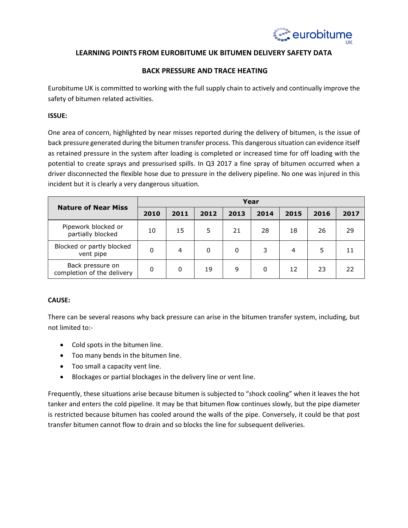

# **LEARNING POINTS FROM EUROBITUME UK BITUMEN DELIVERY SAFETY DATA**

# **BACK PRESSURE AND TRACE HEATING**

Eurobitume UK is committed to working with the full supply chain to actively and continually improve the safety of bitumen related activities.

#### **ISSUE:**

One area of concern, highlighted by near misses reported during the delivery of bitumen, is the issue of back pressure generated during the bitumen transfer process. This dangerous situation can evidence itself as retained pressure in the system after loading is completed or increased time for off loading with the potential to create sprays and pressurised spills. In Q3 2017 a fine spray of bitumen occurred when a driver disconnected the flexible hose due to pressure in the delivery pipeline. No one was injured in this incident but it is clearly a very dangerous situation.

| <b>Nature of Near Miss</b>                     | Year |          |      |      |      |      |      |      |
|------------------------------------------------|------|----------|------|------|------|------|------|------|
|                                                | 2010 | 2011     | 2012 | 2013 | 2014 | 2015 | 2016 | 2017 |
| Pipework blocked or<br>partially blocked       | 10   | 15       | 5    | 21   | 28   | 18   | 26   | 29   |
| Blocked or partly blocked<br>vent pipe         | 0    | 4        | 0    | 0    | 3    | 4    | 5    |      |
| Back pressure on<br>completion of the delivery | 0    | $\Omega$ | 19   | 9    | 0    | 12   | 23   | 22.  |

## **CAUSE:**

There can be several reasons why back pressure can arise in the bitumen transfer system, including, but not limited to:-

- Cold spots in the bitumen line.
- Too many bends in the bitumen line.
- Too small a capacity vent line.
- Blockages or partial blockages in the delivery line or vent line.

Frequently, these situations arise because bitumen is subjected to "shock cooling" when it leaves the hot tanker and enters the cold pipeline. It may be that bitumen flow continues slowly, but the pipe diameter is restricted because bitumen has cooled around the walls of the pipe. Conversely, it could be that post transfer bitumen cannot flow to drain and so blocks the line for subsequent deliveries.